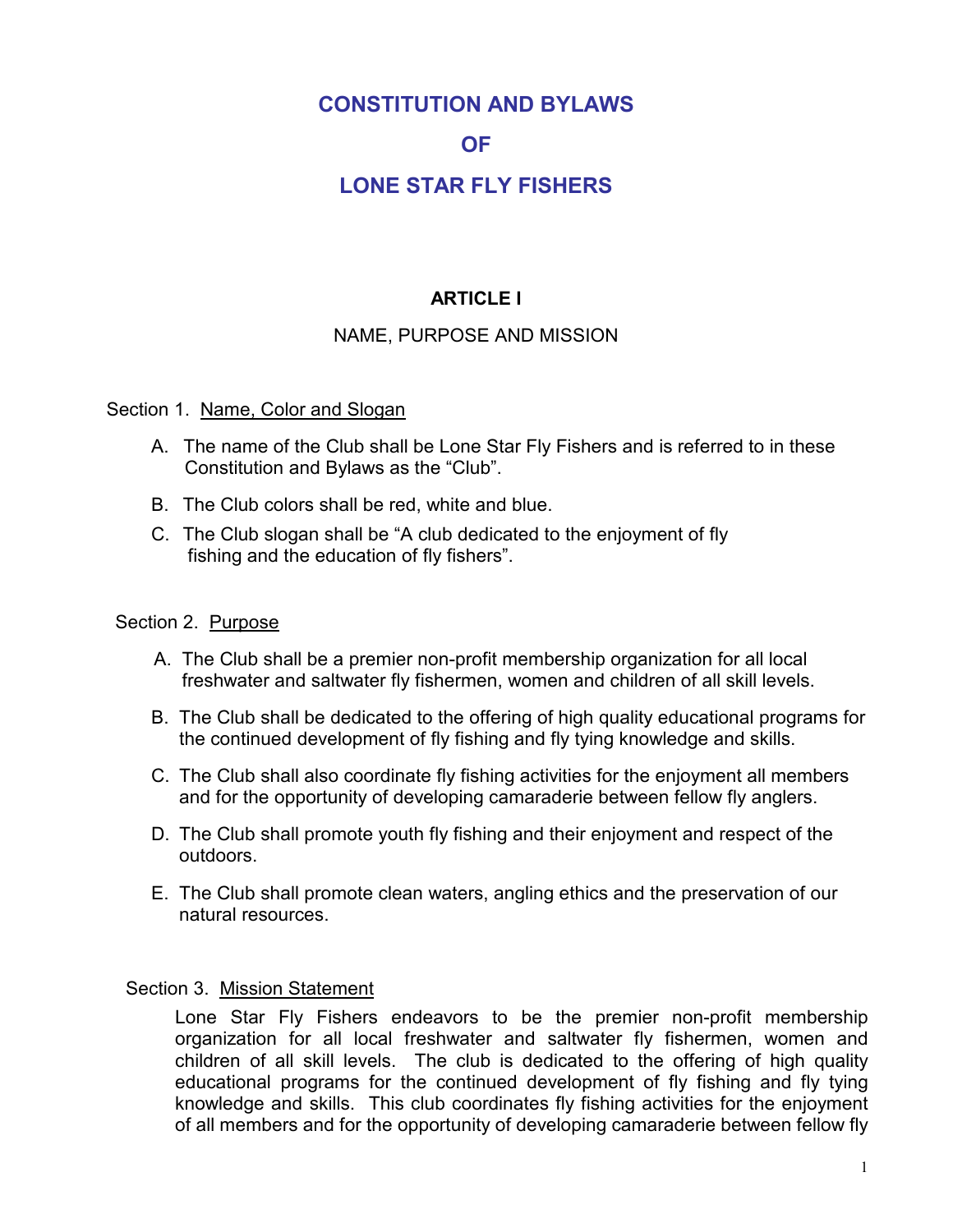# **CONSTITUTION AND BYLAWS**

#### **OF**

# **I ONE STAR FI Y FISHERS**

# **ARTICLE I**

#### NAME, PURPOSE AND MISSION

#### Section 1. Name, Color and Slogan

- A. The name of the Club shall be Lone Star Fly Fishers and is referred to in these Constitution and Bylaws as the "Club".
- B. The Club colors shall be red, white and blue.
- C. The Club slogan shall be "A club dedicated to the enjoyment of fly fishing and the education of fly fishers".

#### Section 2. Purpose

- A. The Club shall be a premier non-profit membership organization for all local freshwater and saltwater fly fishermen, women and children of all skill levels.
- B. The Club shall be dedicated to the offering of high quality educational programs for the continued development of fly fishing and fly tying knowledge and skills.
- C. The Club shall also coordinate fly fishing activities for the enjoyment all members and for the opportunity of developing camaraderie between fellow fly anglers.
- D. The Club shall promote youth fly fishing and their enjoyment and respect of the outdoors.
- E. The Club shall promote clean waters, angling ethics and the preservation of our natural resources

#### Section 3. Mission Statement

Lone Star Fly Fishers endeavors to be the premier non-profit membership organization for all local freshwater and saltwater fly fishermen, women and children of all skill levels. The club is dedicated to the offering of high quality educational programs for the continued development of fly fishing and fly tying knowledge and skills. This club coordinates fly fishing activities for the enjoyment of all members and for the opportunity of developing camaraderie between fellow fly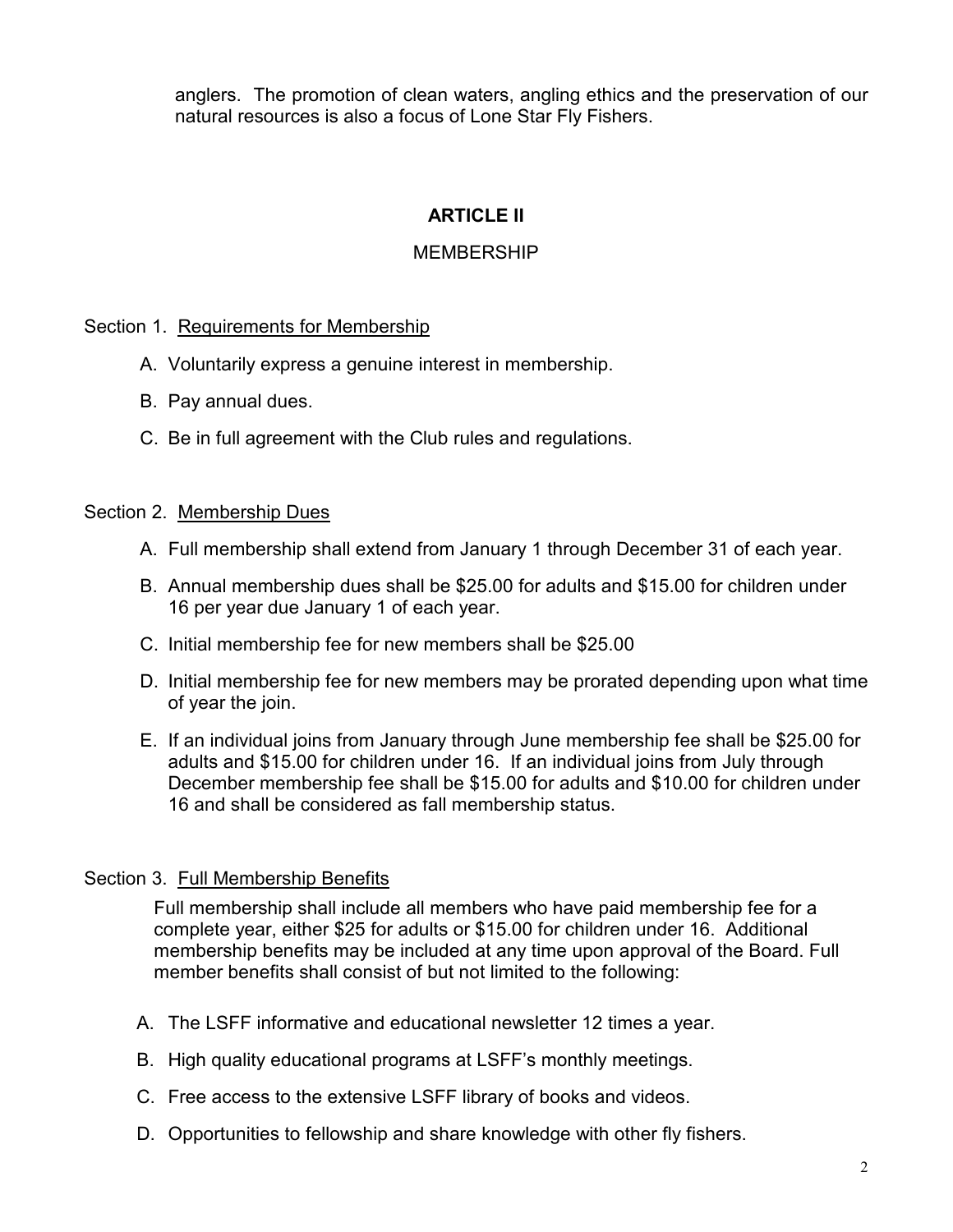anglers. The promotion of clean waters, angling ethics and the preservation of our natural resources is also a focus of Lone Star Fly Fishers.

# **ARTICLE II**

#### **MFMBFRSHIP**

Section 1. Requirements for Membership

- A. Voluntarily express a genuine interest in membership.
- B. Pay annual dues.
- C. Be in full agreement with the Club rules and regulations.

#### Section 2. Membership Dues

- A. Full membership shall extend from January 1 through December 31 of each year.
- B. Annual membership dues shall be \$25.00 for adults and \$15.00 for children under 16 per year due January 1 of each year.
- C. Initial membership fee for new members shall be \$25.00
- D. Initial membership fee for new members may be prorated depending upon what time of year the join.
- E. If an individual joins from January through June membership fee shall be \$25.00 for adults and \$15.00 for children under 16. If an individual joins from July through December membership fee shall be \$15.00 for adults and \$10.00 for children under 16 and shall be considered as fall membership status.

#### Section 3. Full Membership Benefits

Full membership shall include all members who have paid membership fee for a complete year, either \$25 for adults or \$15.00 for children under 16. Additional membership benefits may be included at any time upon approval of the Board. Full member benefits shall consist of but not limited to the following:

- A. The LSFF informative and educational newsletter 12 times a year.
- B. High quality educational programs at LSFF's monthly meetings.
- C. Free access to the extensive LSFF library of books and videos.
- D. Opportunities to fellowship and share knowledge with other fly fishers.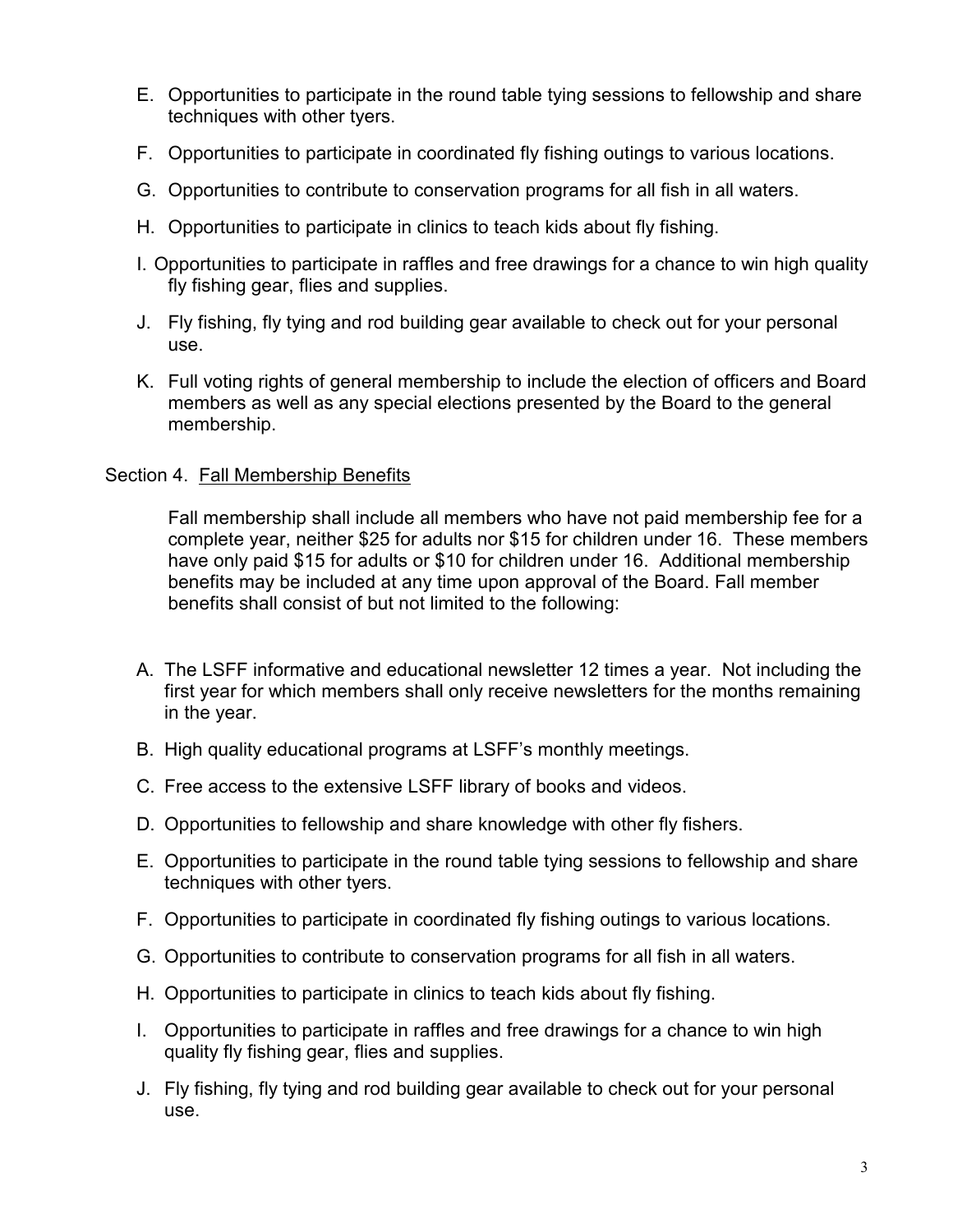- E. Opportunities to participate in the round table tying sessions to fellowship and share techniques with other tyers.
- F. Opportunities to participate in coordinated fly fishing outings to various locations.
- G. Opportunities to contribute to conservation programs for all fish in all waters.
- H. Opportunities to participate in clinics to teach kids about fly fishing.
- I. Opportunities to participate in raffles and free drawings for a chance to win high quality fly fishing gear, flies and supplies.
- J. Fly fishing, fly tying and rod building gear available to check out for your personal use.
- K. Full voting rights of general membership to include the election of officers and Board members as well as any special elections presented by the Board to the general membership.

#### Section 4. Fall Membership Benefits

Fall membership shall include all members who have not paid membership fee for a complete year, neither \$25 for adults nor \$15 for children under 16. These members have only paid \$15 for adults or \$10 for children under 16. Additional membership benefits may be included at any time upon approval of the Board. Fall member benefits shall consist of but not limited to the following:

- A. The LSFF informative and educational newsletter 12 times a year. Not including the first year for which members shall only receive newsletters for the months remaining in the year.
- B. High quality educational programs at LSFF's monthly meetings.
- C. Free access to the extensive LSFF library of books and videos.
- D. Opportunities to fellowship and share knowledge with other fly fishers.
- E. Opportunities to participate in the round table tying sessions to fellowship and share techniques with other tyers.
- F. Opportunities to participate in coordinated fly fishing outings to various locations.
- G. Opportunities to contribute to conservation programs for all fish in all waters.
- H. Opportunities to participate in clinics to teach kids about fly fishing.
- I. Opportunities to participate in raffles and free drawings for a chance to win high quality fly fishing gear, flies and supplies.
- J. Fly fishing, fly tying and rod building gear available to check out for your personal use.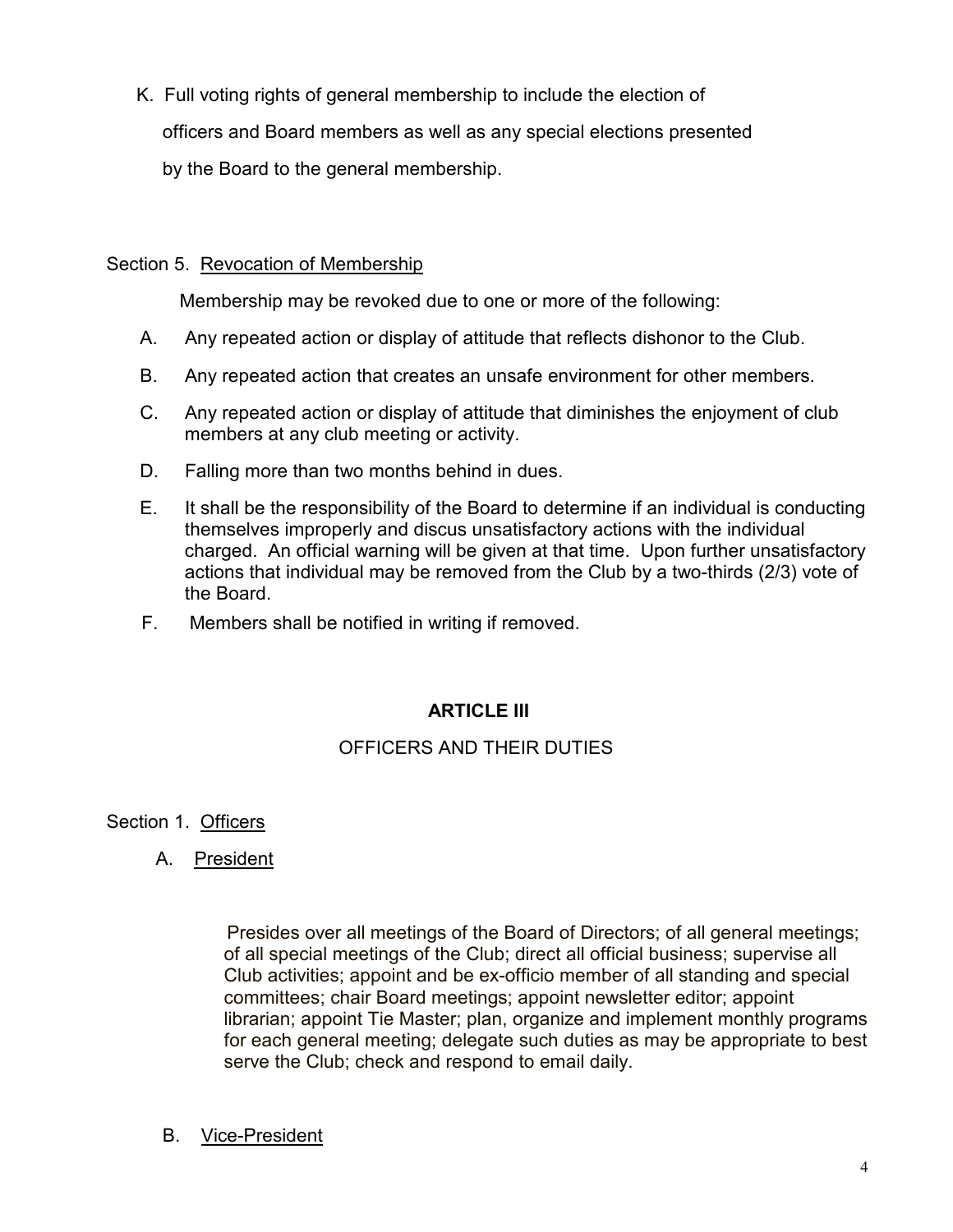K. Full voting rights of general membership to include the election of officers and Board members as well as any special elections presented by the Board to the general membership.

#### Section 5. Revocation of Membership

Membership may be revoked due to one or more of the following:

- А. Any repeated action or display of attitude that reflects dishonor to the Club.
- **B.** Any repeated action that creates an unsafe environment for other members.
- $C_{1}$ Any repeated action or display of attitude that diminishes the enjoyment of club members at any club meeting or activity.
- D. Falling more than two months behind in dues.
- E., It shall be the responsibility of the Board to determine if an individual is conducting themselves improperly and discus unsatisfactory actions with the individual charged. An official warning will be given at that time. Upon further unsatisfactory actions that individual may be removed from the Club by a two-thirds (2/3) vote of the Board.
- F. Members shall be notified in writing if removed.

## **ARTICLE III**

## OFFICERS AND THEIR DUTIES

#### Section 1. Officers

A. President

Presides over all meetings of the Board of Directors; of all general meetings; of all special meetings of the Club; direct all official business; supervise all Club activities; appoint and be ex-officio member of all standing and special committees; chair Board meetings; appoint newsletter editor; appoint librarian; appoint Tie Master; plan, organize and implement monthly programs for each general meeting; delegate such duties as may be appropriate to best serve the Club; check and respond to email daily.

**B.** Vice-President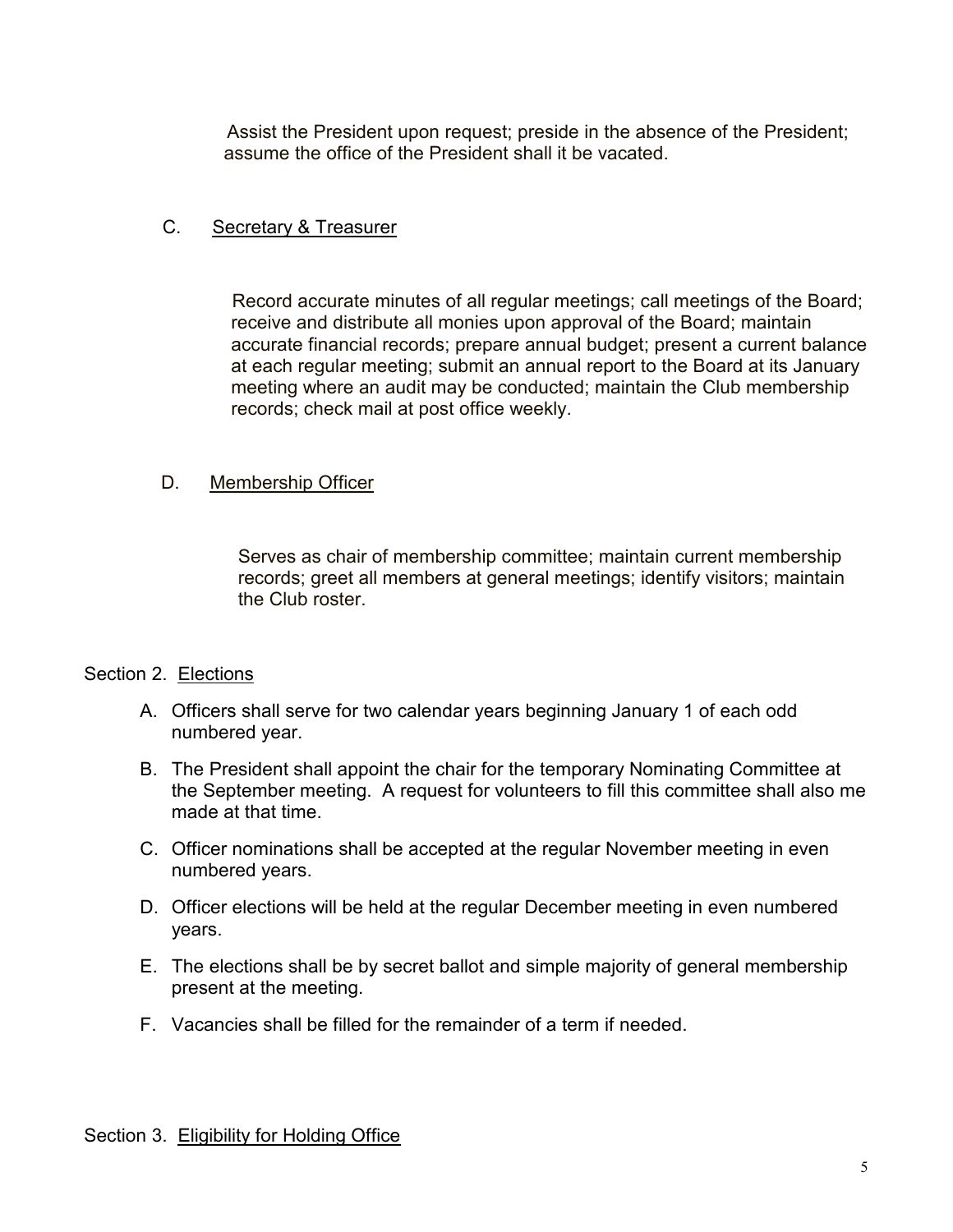Assist the President upon request; preside in the absence of the President; assume the office of the President shall it be vacated.

#### $\mathcal{C}$ Secretary & Treasurer

Record accurate minutes of all regular meetings; call meetings of the Board; receive and distribute all monies upon approval of the Board; maintain accurate financial records; prepare annual budget; present a current balance at each regular meeting; submit an annual report to the Board at its January meeting where an audit may be conducted; maintain the Club membership records; check mail at post office weekly.

#### D. Membership Officer

Serves as chair of membership committee; maintain current membership records; greet all members at general meetings; identify visitors; maintain the Club roster.

#### Section 2. Elections

- A. Officers shall serve for two calendar years beginning January 1 of each odd numbered year.
- B. The President shall appoint the chair for the temporary Nominating Committee at the September meeting. A request for volunteers to fill this committee shall also me made at that time.
- C. Officer nominations shall be accepted at the regular November meeting in even numbered years.
- D. Officer elections will be held at the regular December meeting in even numbered years.
- E. The elections shall be by secret ballot and simple majority of general membership present at the meeting.
- F. Vacancies shall be filled for the remainder of a term if needed.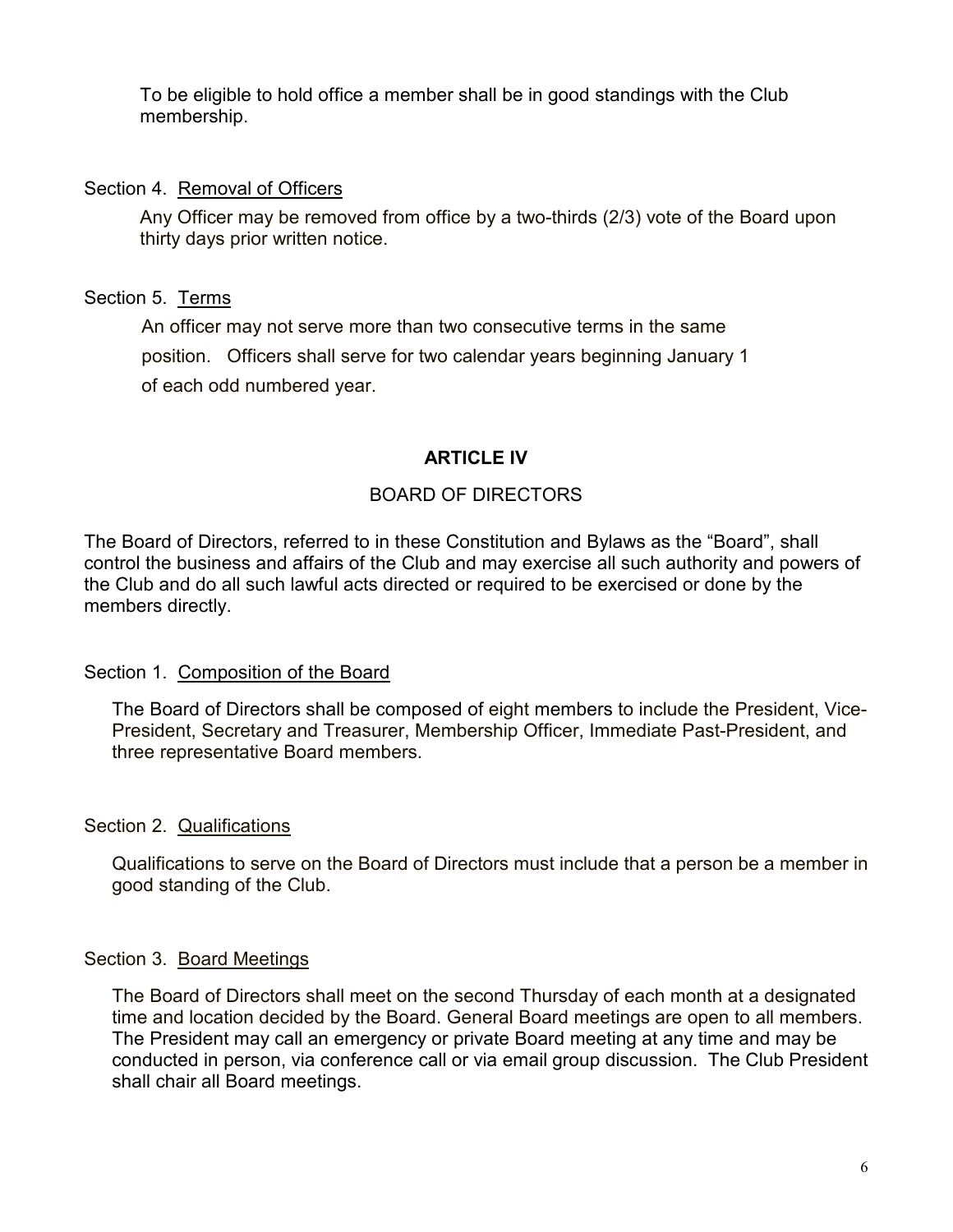To be eligible to hold office a member shall be in good standings with the Club membership.

#### Section 4. Removal of Officers

Any Officer may be removed from office by a two-thirds (2/3) vote of the Board upon thirty days prior written notice.

## Section 5. Terms

An officer may not serve more than two consecutive terms in the same position. Officers shall serve for two calendar years beginning January 1 of each odd numbered year.

## **ARTICLE IV**

## BOARD OF DIRECTORS

The Board of Directors, referred to in these Constitution and Bylaws as the "Board", shall control the business and affairs of the Club and may exercise all such authority and powers of the Club and do all such lawful acts directed or required to be exercised or done by the members directly.

## Section 1. Composition of the Board

The Board of Directors shall be composed of eight members to include the President, Vice-President, Secretary and Treasurer, Membership Officer, Immediate Past-President, and three representative Board members.

## Section 2. Qualifications

Qualifications to serve on the Board of Directors must include that a person be a member in good standing of the Club.

## Section 3. Board Meetings

The Board of Directors shall meet on the second Thursday of each month at a designated time and location decided by the Board. General Board meetings are open to all members. The President may call an emergency or private Board meeting at any time and may be conducted in person, via conference call or via email group discussion. The Club President shall chair all Board meetings.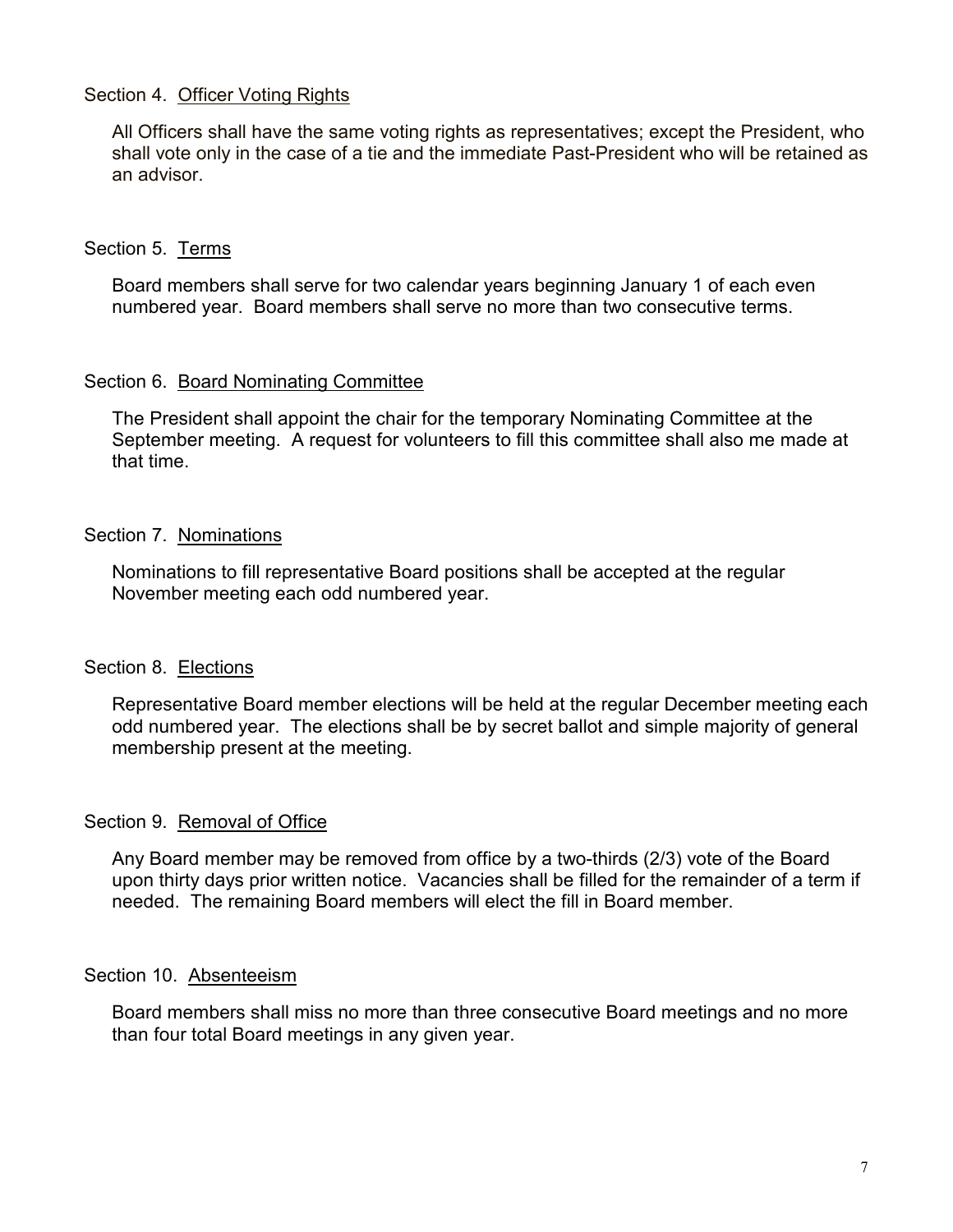#### Section 4. Officer Voting Rights

All Officers shall have the same voting rights as representatives; except the President, who shall vote only in the case of a tie and the immediate Past-President who will be retained as an advisor

#### Section 5. Terms

Board members shall serve for two calendar years beginning January 1 of each even numbered year. Board members shall serve no more than two consecutive terms.

#### Section 6. Board Nominating Committee

The President shall appoint the chair for the temporary Nominating Committee at the September meeting. A request for volunteers to fill this committee shall also me made at that time.

#### Section 7. Nominations

Nominations to fill representative Board positions shall be accepted at the regular November meeting each odd numbered year.

#### Section 8. Elections

Representative Board member elections will be held at the regular December meeting each odd numbered year. The elections shall be by secret ballot and simple majority of general membership present at the meeting.

#### Section 9. Removal of Office

Any Board member may be removed from office by a two-thirds (2/3) vote of the Board upon thirty days prior written notice. Vacancies shall be filled for the remainder of a term if needed. The remaining Board members will elect the fill in Board member.

#### Section 10. Absenteeism

Board members shall miss no more than three consecutive Board meetings and no more than four total Board meetings in any given year.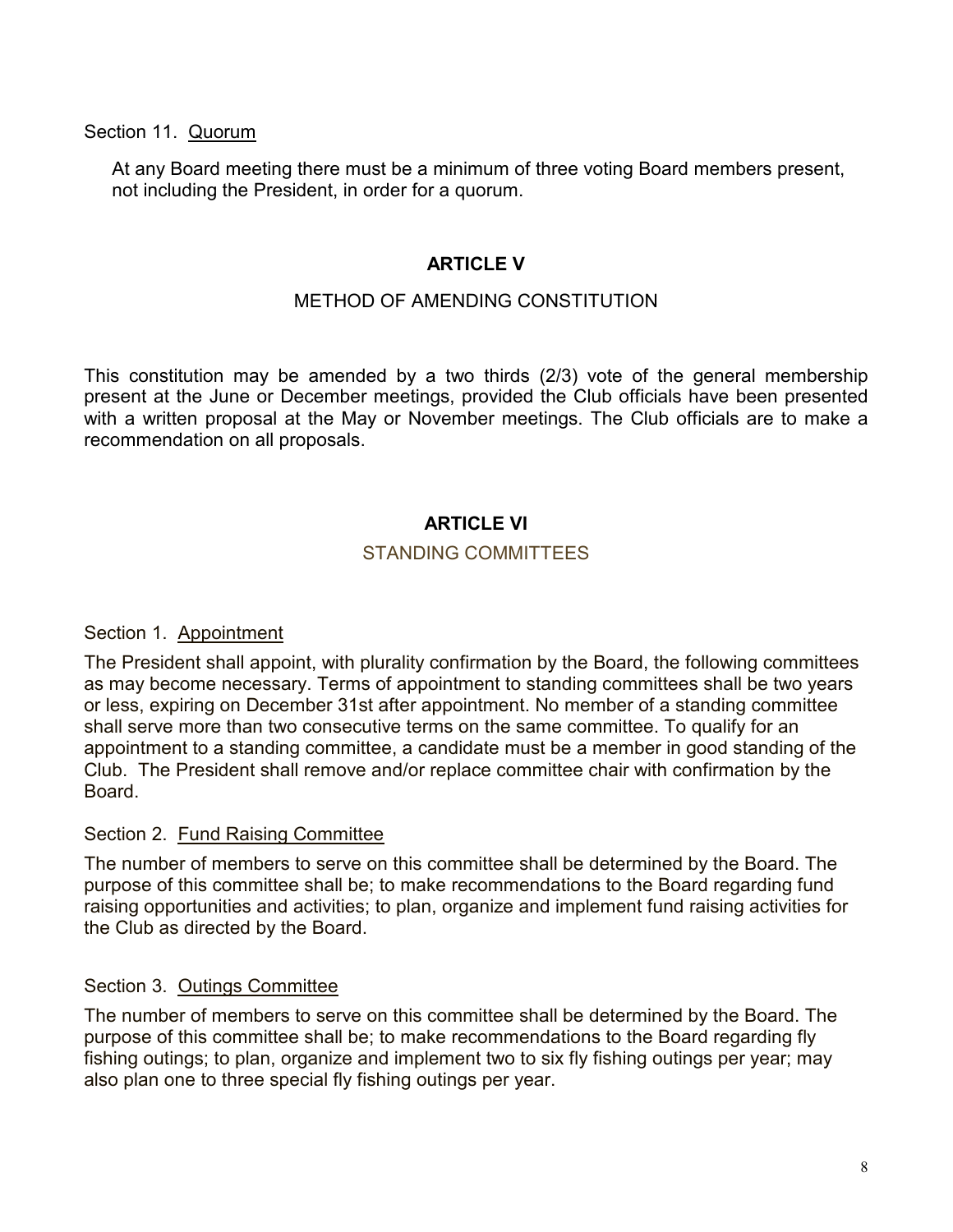Section 11. Quorum

At any Board meeting there must be a minimum of three voting Board members present, not including the President, in order for a quorum.

#### **ARTICLE V**

#### MFTHOD OF AMENDING CONSTITUTION

This constitution may be amended by a two thirds (2/3) vote of the general membership present at the June or December meetings, provided the Club officials have been presented with a written proposal at the May or November meetings. The Club officials are to make a recommendation on all proposals.

## **ARTICLE VI**

#### **STANDING COMMITTEES**

#### Section 1. Appointment

The President shall appoint, with plurality confirmation by the Board, the following committees as may become necessary. Terms of appointment to standing committees shall be two years or less, expiring on December 31st after appointment. No member of a standing committee shall serve more than two consecutive terms on the same committee. To qualify for an appointment to a standing committee, a candidate must be a member in good standing of the Club. The President shall remove and/or replace committee chair with confirmation by the Board.

#### Section 2. Fund Raising Committee

The number of members to serve on this committee shall be determined by the Board. The purpose of this committee shall be; to make recommendations to the Board regarding fund raising opportunities and activities; to plan, organize and implement fund raising activities for the Club as directed by the Board.

#### Section 3. Outings Committee

The number of members to serve on this committee shall be determined by the Board. The purpose of this committee shall be; to make recommendations to the Board regarding fly fishing outings; to plan, organize and implement two to six fly fishing outings per year; may also plan one to three special fly fishing outings per year.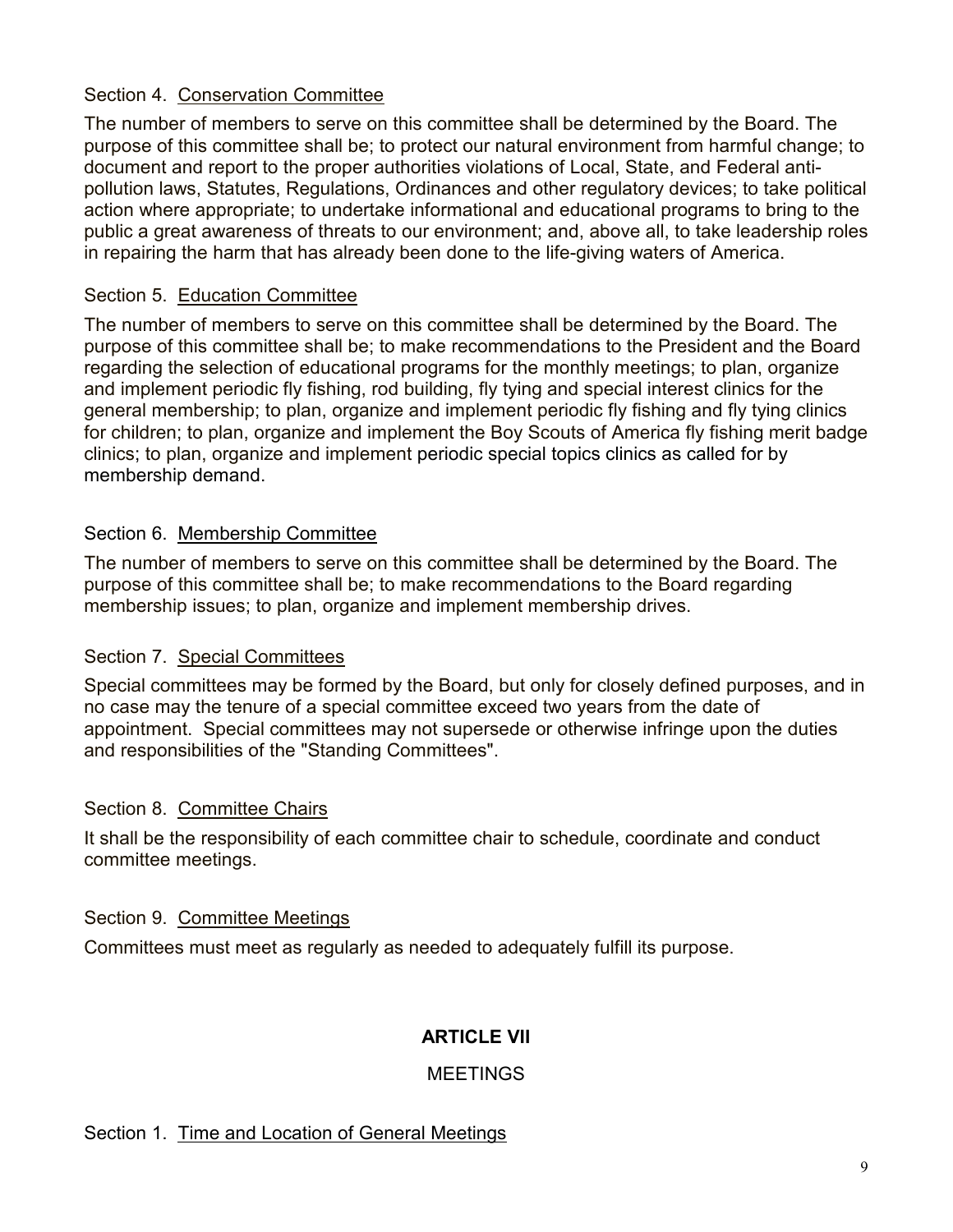## Section 4. Conservation Committee

The number of members to serve on this committee shall be determined by the Board. The purpose of this committee shall be; to protect our natural environment from harmful change; to document and report to the proper authorities violations of Local, State, and Federal antipollution laws, Statutes, Regulations, Ordinances and other regulatory devices; to take political action where appropriate; to undertake informational and educational programs to bring to the public a great awareness of threats to our environment; and, above all, to take leadership roles in repairing the harm that has already been done to the life-giving waters of America.

## Section 5. Education Committee

The number of members to serve on this committee shall be determined by the Board. The purpose of this committee shall be; to make recommendations to the President and the Board regarding the selection of educational programs for the monthly meetings; to plan, organize and implement periodic fly fishing, rod building, fly tying and special interest clinics for the general membership; to plan, organize and implement periodic fly fishing and fly tying clinics for children; to plan, organize and implement the Boy Scouts of America fly fishing merit badge clinics; to plan, organize and implement periodic special topics clinics as called for by membership demand.

## Section 6. Membership Committee

The number of members to serve on this committee shall be determined by the Board. The purpose of this committee shall be; to make recommendations to the Board regarding membership issues; to plan, organize and implement membership drives.

## Section 7. Special Committees

Special committees may be formed by the Board, but only for closely defined purposes, and in no case may the tenure of a special committee exceed two years from the date of appointment. Special committees may not supersede or otherwise infringe upon the duties and responsibilities of the "Standing Committees".

#### Section 8. Committee Chairs

It shall be the responsibility of each committee chair to schedule, coordinate and conduct committee meetings.

#### Section 9. Committee Meetings

Committees must meet as regularly as needed to adequately fulfill its purpose.

## **ARTICLE VII**

#### **MEETINGS**

## Section 1. Time and Location of General Meetings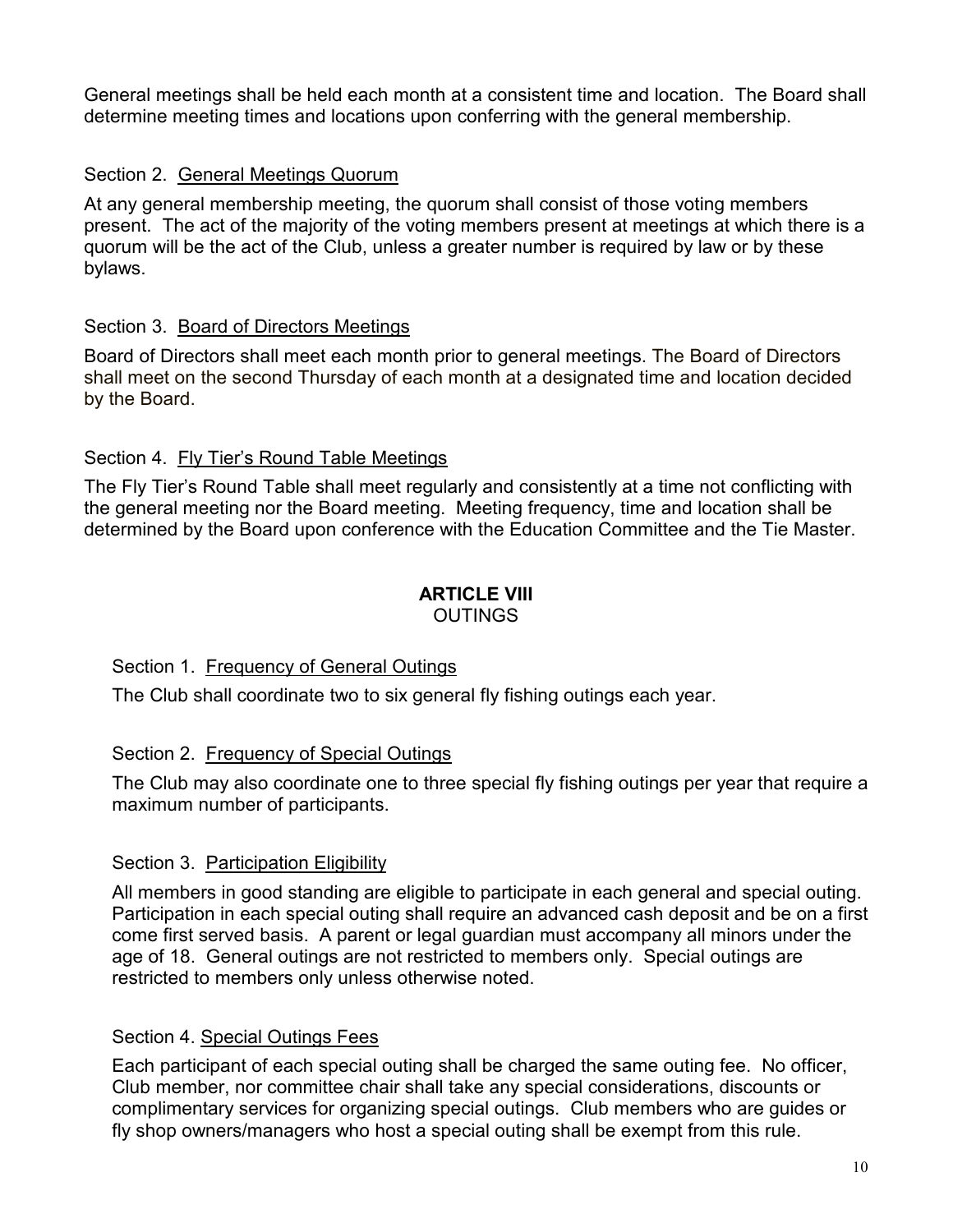General meetings shall be held each month at a consistent time and location. The Board shall determine meeting times and locations upon conferring with the general membership.

## Section 2. General Meetings Quorum

At any general membership meeting, the quorum shall consist of those voting members present. The act of the majority of the voting members present at meetings at which there is a quorum will be the act of the Club, unless a greater number is required by law or by these bylaws.

## Section 3. Board of Directors Meetings

Board of Directors shall meet each month prior to general meetings. The Board of Directors shall meet on the second Thursday of each month at a designated time and location decided by the Board.

## Section 4. Fly Tier's Round Table Meetings

The Fly Tier's Round Table shall meet regularly and consistently at a time not conflicting with the general meeting nor the Board meeting. Meeting frequency, time and location shall be determined by the Board upon conference with the Education Committee and the Tie Master.

#### **ARTICLE VIII OUTINGS**

## Section 1. Frequency of General Outings

The Club shall coordinate two to six general fly fishing outings each year.

## Section 2. Frequency of Special Outings

The Club may also coordinate one to three special fly fishing outings per year that require a maximum number of participants.

## Section 3. Participation Eligibility

All members in good standing are eligible to participate in each general and special outing. Participation in each special outing shall require an advanced cash deposit and be on a first come first served basis. A parent or legal guardian must accompany all minors under the age of 18. General outings are not restricted to members only. Special outings are restricted to members only unless otherwise noted.

## Section 4. Special Outings Fees

Each participant of each special outing shall be charged the same outing fee. No officer, Club member, nor committee chair shall take any special considerations, discounts or complimentary services for organizing special outings. Club members who are guides or fly shop owners/managers who host a special outing shall be exempt from this rule.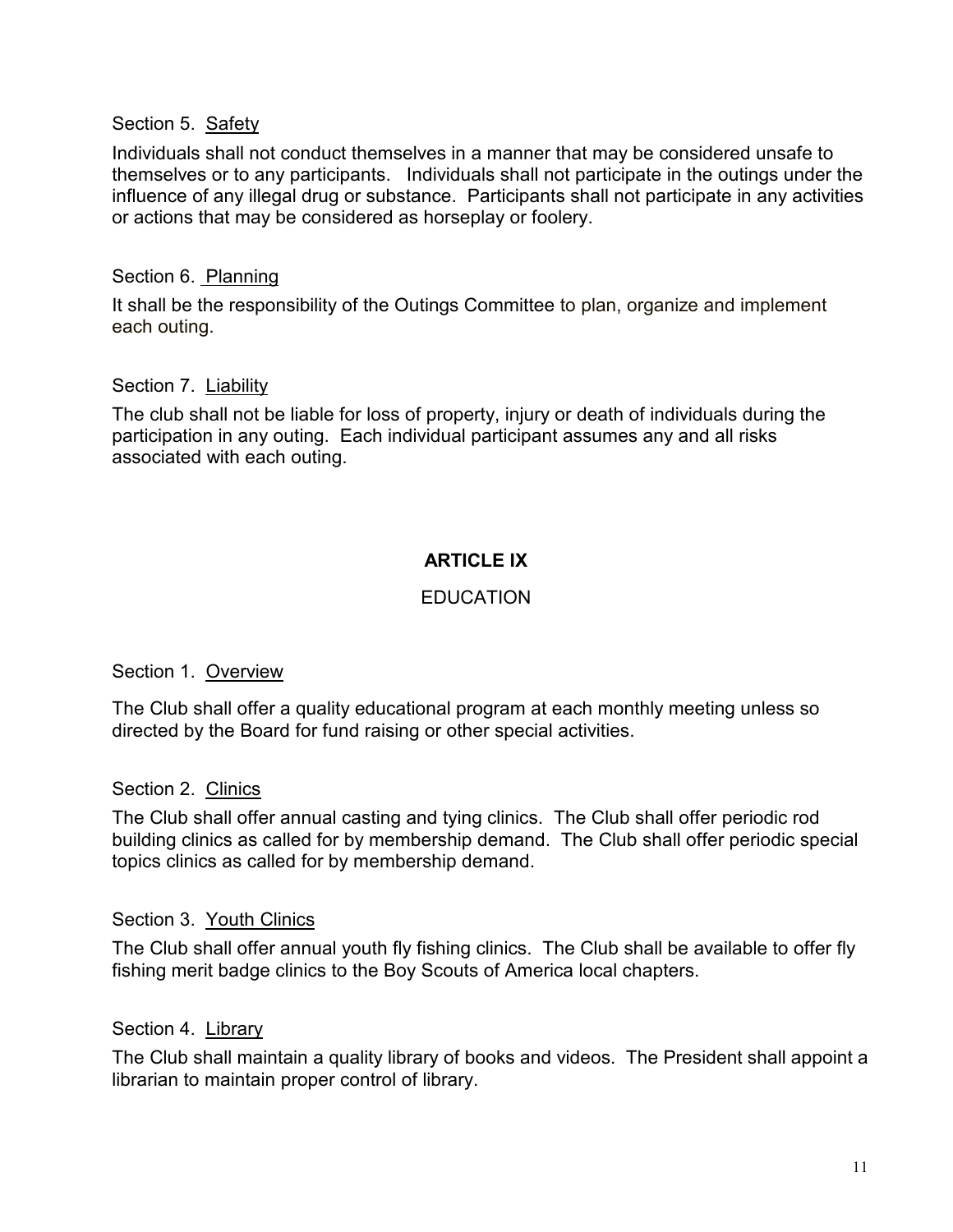#### Section 5. Safety

Individuals shall not conduct themselves in a manner that may be considered unsafe to themselves or to any participants. Individuals shall not participate in the outings under the influence of any illegal drug or substance. Participants shall not participate in any activities or actions that may be considered as horseplay or foolery.

#### Section 6. Planning

It shall be the responsibility of the Outings Committee to plan, organize and implement each outing.

#### Section 7. Liability

The club shall not be liable for loss of property, injury or death of individuals during the participation in any outing. Each individual participant assumes any and all risks associated with each outing.

## **ARTICLE IX**

## **EDUCATION**

#### Section 1. Overview

The Club shall offer a quality educational program at each monthly meeting unless so directed by the Board for fund raising or other special activities.

#### Section 2. Clinics

The Club shall offer annual casting and tying clinics. The Club shall offer periodic rod building clinics as called for by membership demand. The Club shall offer periodic special topics clinics as called for by membership demand.

#### Section 3. Youth Clinics

The Club shall offer annual youth fly fishing clinics. The Club shall be available to offer fly fishing merit badge clinics to the Boy Scouts of America local chapters.

#### Section 4. Library

The Club shall maintain a quality library of books and videos. The President shall appoint a librarian to maintain proper control of library.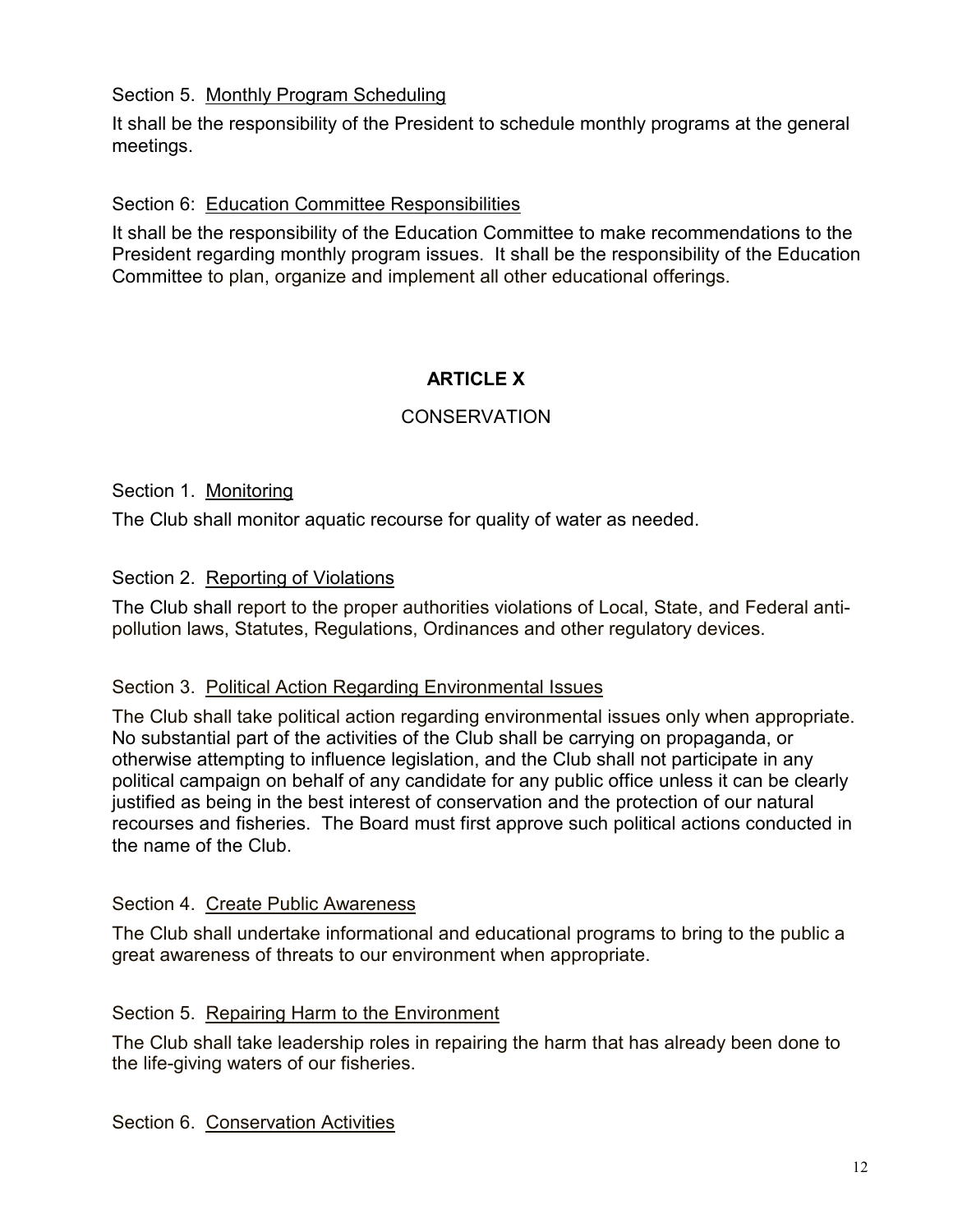#### Section 5. Monthly Program Scheduling

It shall be the responsibility of the President to schedule monthly programs at the general meetings.

#### Section 6: Education Committee Responsibilities

It shall be the responsibility of the Education Committee to make recommendations to the President regarding monthly program issues. It shall be the responsibility of the Education Committee to plan, organize and implement all other educational offerings.

## **ARTICLE X**

## **CONSERVATION**

#### Section 1. Monitoring

The Club shall monitor aguatic recourse for quality of water as needed.

#### Section 2. Reporting of Violations

The Club shall report to the proper authorities violations of Local, State, and Federal antipollution laws, Statutes, Regulations, Ordinances and other regulatory devices.

#### Section 3. Political Action Regarding Environmental Issues

The Club shall take political action regarding environmental issues only when appropriate. No substantial part of the activities of the Club shall be carrying on propaganda, or otherwise attempting to influence legislation, and the Club shall not participate in any political campaign on behalf of any candidate for any public office unless it can be clearly justified as being in the best interest of conservation and the protection of our natural recourses and fisheries. The Board must first approve such political actions conducted in the name of the Club.

#### Section 4. Create Public Awareness

The Club shall undertake informational and educational programs to bring to the public a great awareness of threats to our environment when appropriate.

#### Section 5. Repairing Harm to the Environment

The Club shall take leadership roles in repairing the harm that has already been done to the life-giving waters of our fisheries.

Section 6. Conservation Activities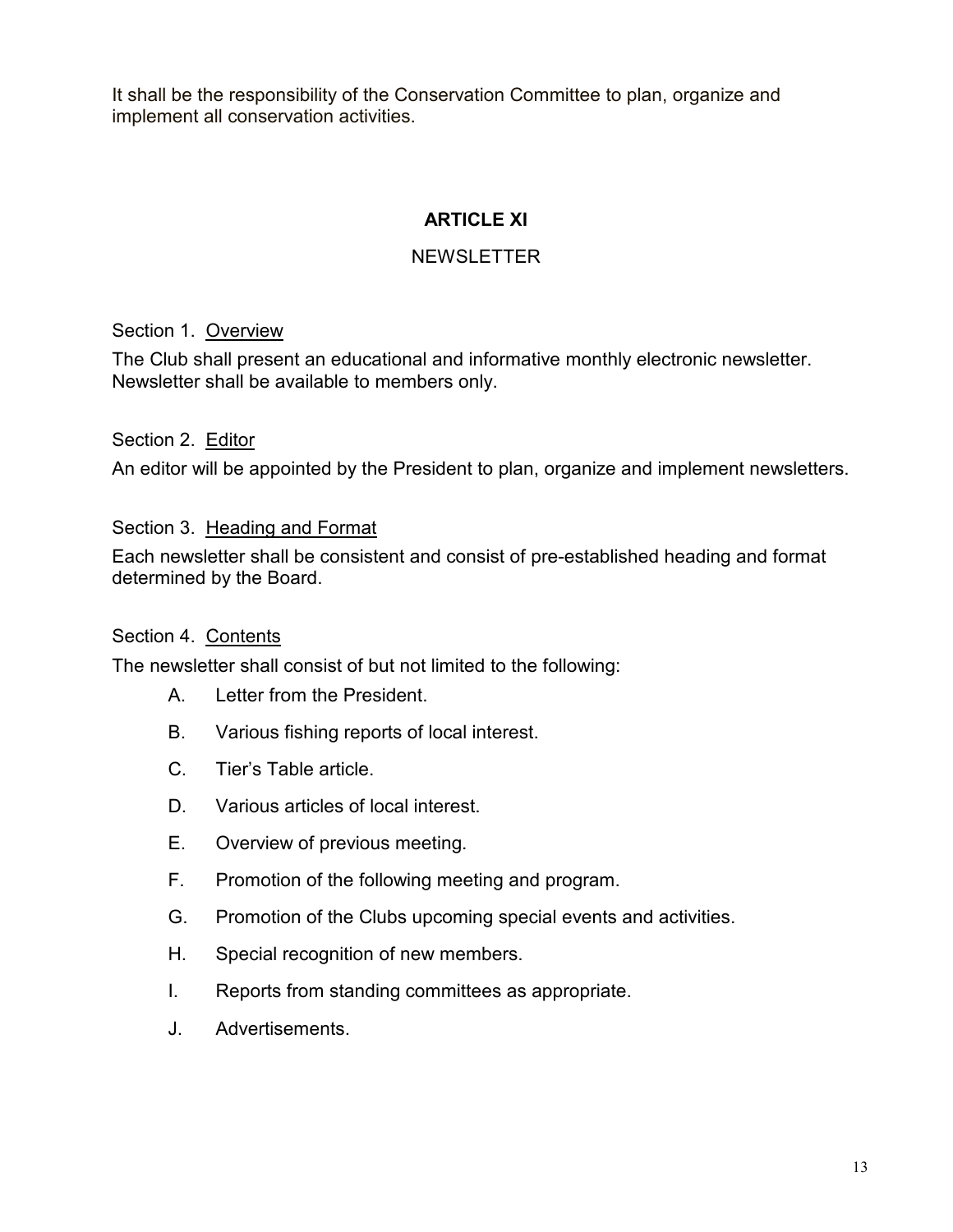It shall be the responsibility of the Conservation Committee to plan, organize and implement all conservation activities.

# **ARTICLE XI**

## **NEWSLETTER**

Section 1. Overview

The Club shall present an educational and informative monthly electronic newsletter. Newsletter shall be available to members only.

Section 2. Editor

An editor will be appointed by the President to plan, organize and implement newsletters.

Section 3. Heading and Format

Each newsletter shall be consistent and consist of pre-established heading and format determined by the Board.

## Section 4. Contents

The newsletter shall consist of but not limited to the following:

- $\mathsf{A}$ Letter from the President.
- **B.** Various fishing reports of local interest.
- $C_{-}$ Tier's Table article.
- D. Various articles of local interest.
- $F$ Overview of previous meeting.
- $F_{\perp}$ Promotion of the following meeting and program.
- G. Promotion of the Clubs upcoming special events and activities.
- Η. Special recognition of new members.
- $\mathbf{L}$ Reports from standing committees as appropriate.
- J. Advertisements.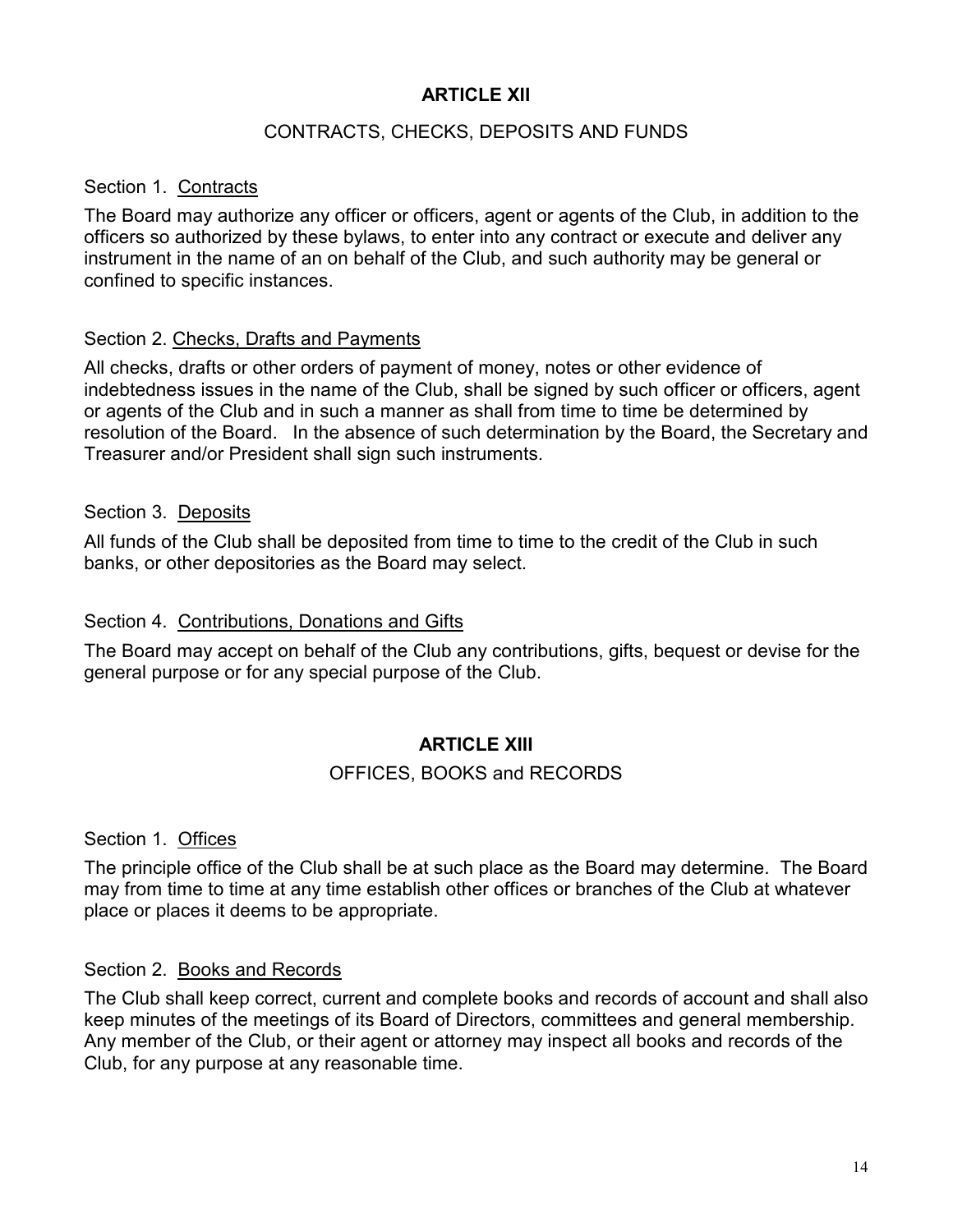## **ARTICLE XII**

#### CONTRACTS, CHECKS, DEPOSITS AND FUNDS

#### Section 1. Contracts

The Board may authorize any officer or officers, agent or agents of the Club, in addition to the officers so authorized by these bylaws, to enter into any contract or execute and deliver any instrument in the name of an on behalf of the Club, and such authority may be general or confined to specific instances.

#### Section 2. Checks, Drafts and Payments

All checks, drafts or other orders of payment of money, notes or other evidence of indebtedness issues in the name of the Club, shall be signed by such officer or officers, agent or agents of the Club and in such a manner as shall from time to time be determined by resolution of the Board. In the absence of such determination by the Board, the Secretary and Treasurer and/or President shall sign such instruments.

#### Section 3. Deposits

All funds of the Club shall be deposited from time to time to the credit of the Club in such banks, or other depositories as the Board may select.

#### Section 4. Contributions, Donations and Gifts

The Board may accept on behalf of the Club any contributions, gifts, bequest or devise for the general purpose or for any special purpose of the Club.

## **ARTICLE XIII**

#### OFFICES, BOOKS and RECORDS

Section 1. Offices

The principle office of the Club shall be at such place as the Board may determine. The Board may from time to time at any time establish other offices or branches of the Club at whatever place or places it deems to be appropriate.

#### Section 2. Books and Records

The Club shall keep correct, current and complete books and records of account and shall also keep minutes of the meetings of its Board of Directors, committees and general membership. Any member of the Club, or their agent or attorney may inspect all books and records of the Club, for any purpose at any reasonable time.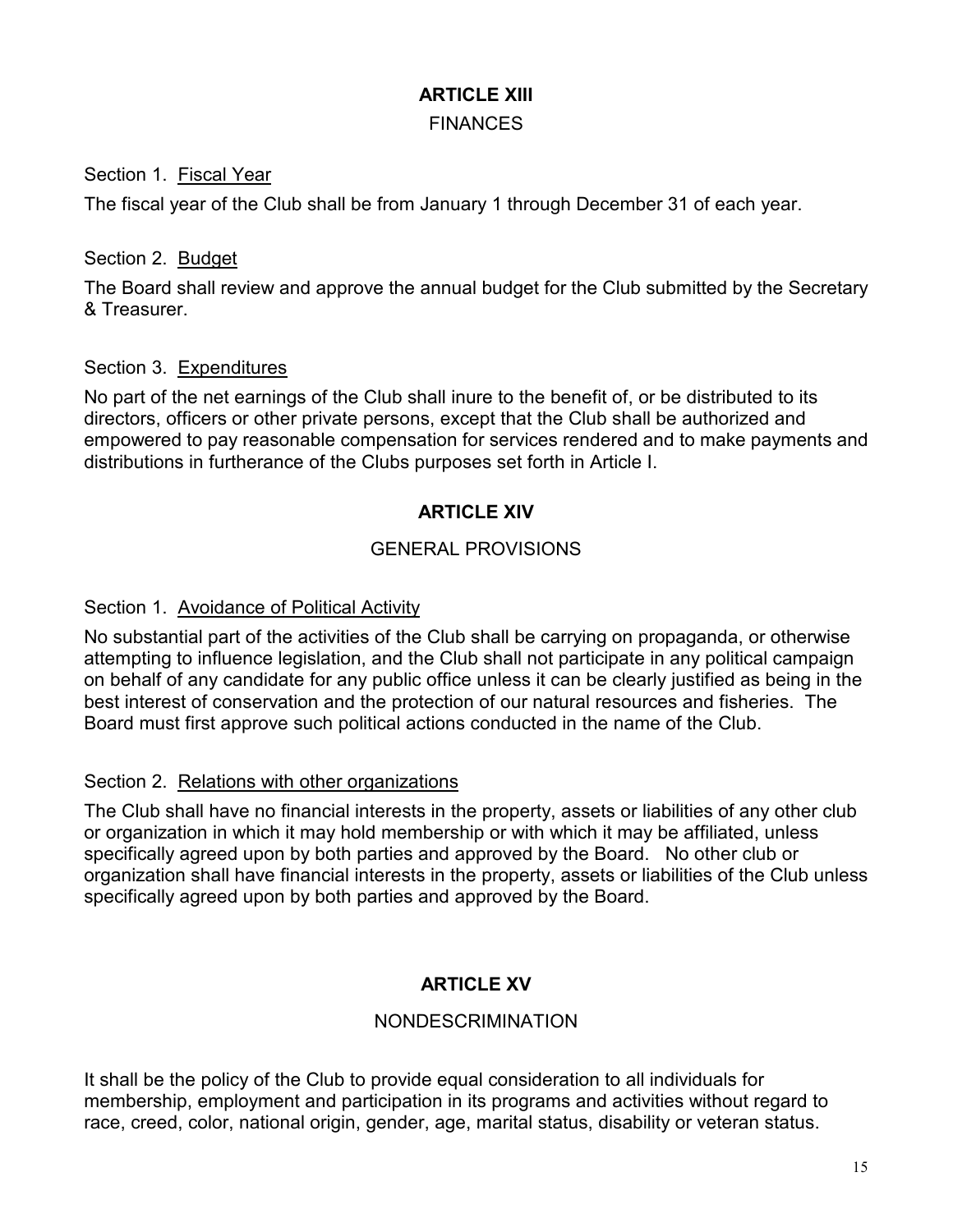## **ARTICLE XIII**

## **FINANCES**

## Section 1. Fiscal Year

The fiscal year of the Club shall be from January 1 through December 31 of each year.

## Section 2. Budget

The Board shall review and approve the annual budget for the Club submitted by the Secretary & Treasurer

## Section 3. Expenditures

No part of the net earnings of the Club shall inure to the benefit of, or be distributed to its directors, officers or other private persons, except that the Club shall be authorized and empowered to pay reasonable compensation for services rendered and to make payments and distributions in furtherance of the Clubs purposes set forth in Article I.

## **ARTICLE XIV**

## **GENERAL PROVISIONS**

## Section 1. Avoidance of Political Activity

No substantial part of the activities of the Club shall be carrying on propaganda, or otherwise attempting to influence legislation, and the Club shall not participate in any political campaign on behalf of any candidate for any public office unless it can be clearly justified as being in the best interest of conservation and the protection of our natural resources and fisheries. The Board must first approve such political actions conducted in the name of the Club.

## Section 2. Relations with other organizations

The Club shall have no financial interests in the property, assets or liabilities of any other club or organization in which it may hold membership or with which it may be affiliated, unless specifically agreed upon by both parties and approved by the Board. No other club or organization shall have financial interests in the property, assets or liabilities of the Club unless specifically agreed upon by both parties and approved by the Board.

# **ARTICLE XV**

## **NONDESCRIMINATION**

It shall be the policy of the Club to provide equal consideration to all individuals for membership, employment and participation in its programs and activities without regard to race, creed, color, national origin, gender, age, marital status, disability or veteran status.